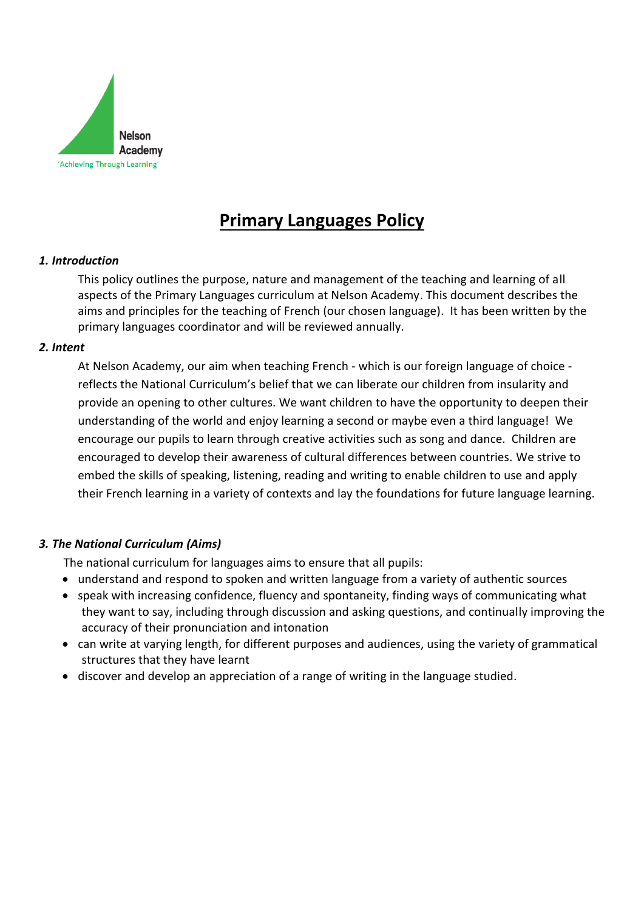

# **Primary Languages Policy**

# *1. Introduction*

This policy outlines the purpose, nature and management of the teaching and learning of all aspects of the Primary Languages curriculum at Nelson Academy. This document describes the aims and principles for the teaching of French (our chosen language). It has been written by the primary languages coordinator and will be reviewed annually.

# *2. Intent*

At Nelson Academy, our aim when teaching French - which is our foreign language of choice reflects the National Curriculum's belief that we can liberate our children from insularity and provide an opening to other cultures. We want children to have the opportunity to deepen their understanding of the world and enjoy learning a second or maybe even a third language! We encourage our pupils to learn through creative activities such as song and dance. Children are encouraged to develop their awareness of cultural differences between countries. We strive to embed the skills of speaking, listening, reading and writing to enable children to use and apply their French learning in a variety of contexts and lay the foundations for future language learning.

# *3. The National Curriculum (Aims)*

The national curriculum for languages aims to ensure that all pupils:

- understand and respond to spoken and written language from a variety of authentic sources
- speak with increasing confidence, fluency and spontaneity, finding ways of communicating what they want to say, including through discussion and asking questions, and continually improving the accuracy of their pronunciation and intonation
- can write at varying length, for different purposes and audiences, using the variety of grammatical structures that they have learnt
- discover and develop an appreciation of a range of writing in the language studied.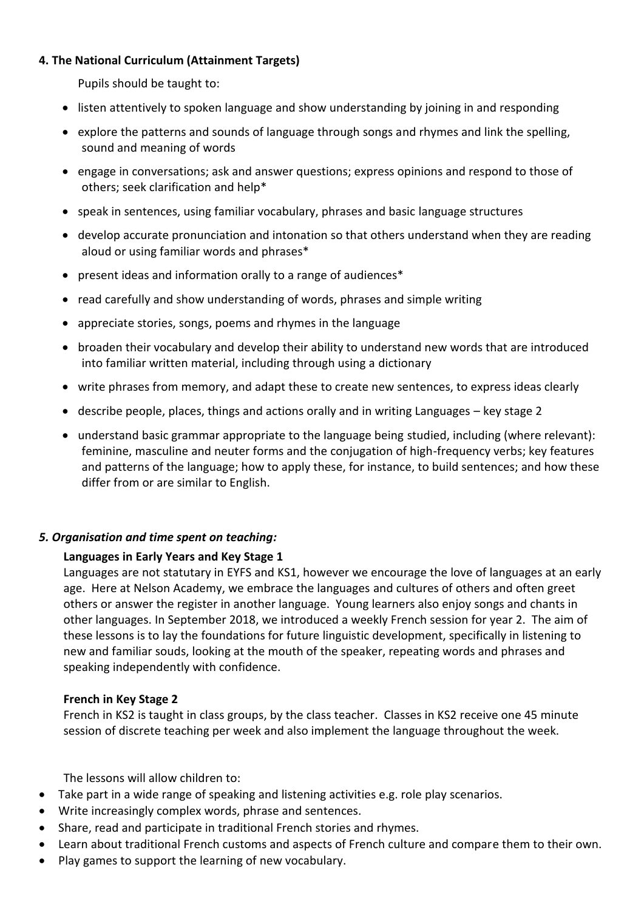# **4. The National Curriculum (Attainment Targets)**

Pupils should be taught to:

- listen attentively to spoken language and show understanding by joining in and responding
- explore the patterns and sounds of language through songs and rhymes and link the spelling, sound and meaning of words
- engage in conversations; ask and answer questions; express opinions and respond to those of others; seek clarification and help\*
- speak in sentences, using familiar vocabulary, phrases and basic language structures
- develop accurate pronunciation and intonation so that others understand when they are reading aloud or using familiar words and phrases\*
- present ideas and information orally to a range of audiences\*
- read carefully and show understanding of words, phrases and simple writing
- appreciate stories, songs, poems and rhymes in the language
- broaden their vocabulary and develop their ability to understand new words that are introduced into familiar written material, including through using a dictionary
- write phrases from memory, and adapt these to create new sentences, to express ideas clearly
- describe people, places, things and actions orally and in writing Languages key stage 2
- understand basic grammar appropriate to the language being studied, including (where relevant): feminine, masculine and neuter forms and the conjugation of high-frequency verbs; key features and patterns of the language; how to apply these, for instance, to build sentences; and how these differ from or are similar to English.

# *5. Organisation and time spent on teaching:*

# **Languages in Early Years and Key Stage 1**

Languages are not statutary in EYFS and KS1, however we encourage the love of languages at an early age. Here at Nelson Academy, we embrace the languages and cultures of others and often greet others or answer the register in another language. Young learners also enjoy songs and chants in other languages. In September 2018, we introduced a weekly French session for year 2. The aim of these lessons is to lay the foundations for future linguistic development, specifically in listening to new and familiar souds, looking at the mouth of the speaker, repeating words and phrases and speaking independently with confidence.

# **French in Key Stage 2**

French in KS2 is taught in class groups, by the class teacher. Classes in KS2 receive one 45 minute session of discrete teaching per week and also implement the language throughout the week.

The lessons will allow children to:

- Take part in a wide range of speaking and listening activities e.g. role play scenarios.
- Write increasingly complex words, phrase and sentences.
- Share, read and participate in traditional French stories and rhymes.
- Learn about traditional French customs and aspects of French culture and compare them to their own.
- Play games to support the learning of new vocabulary.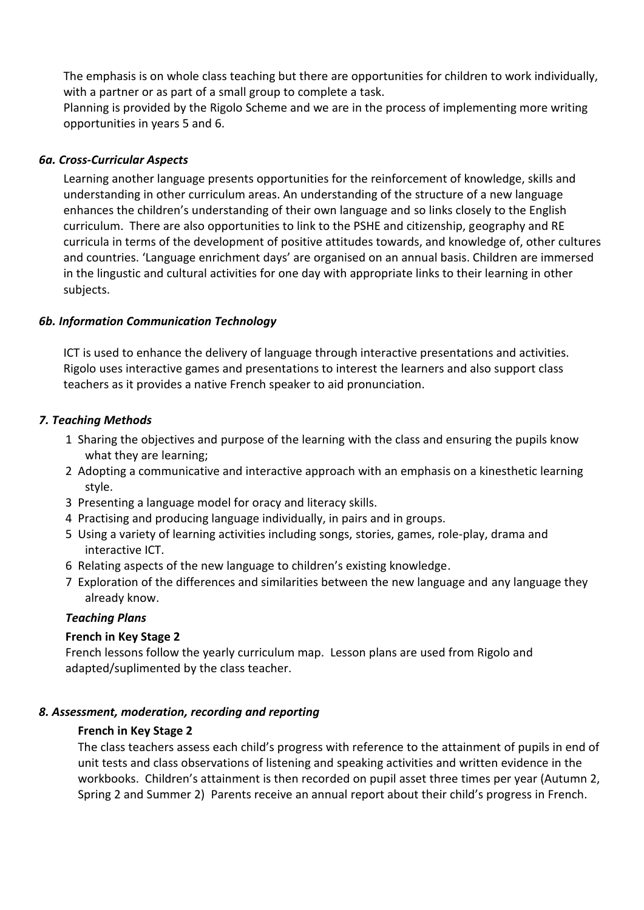The emphasis is on whole class teaching but there are opportunities for children to work individually, with a partner or as part of a small group to complete a task.

Planning is provided by the Rigolo Scheme and we are in the process of implementing more writing opportunities in years 5 and 6.

## *6a. Cross-Curricular Aspects*

Learning another language presents opportunities for the reinforcement of knowledge, skills and understanding in other curriculum areas. An understanding of the structure of a new language enhances the children's understanding of their own language and so links closely to the English curriculum. There are also opportunities to link to the PSHE and citizenship, geography and RE curricula in terms of the development of positive attitudes towards, and knowledge of, other cultures and countries. 'Language enrichment days' are organised on an annual basis. Children are immersed in the lingustic and cultural activities for one day with appropriate links to their learning in other subjects.

## *6b. Information Communication Technology*

ICT is used to enhance the delivery of language through interactive presentations and activities. Rigolo uses interactive games and presentations to interest the learners and also support class teachers as it provides a native French speaker to aid pronunciation.

## *7. Teaching Methods*

- 1 Sharing the objectives and purpose of the learning with the class and ensuring the pupils know what they are learning;
- 2 Adopting a communicative and interactive approach with an emphasis on a kinesthetic learning style.
- 3 Presenting a language model for oracy and literacy skills.
- 4 Practising and producing language individually, in pairs and in groups.
- 5 Using a variety of learning activities including songs, stories, games, role-play, drama and interactive ICT.
- 6 Relating aspects of the new language to children's existing knowledge.
- 7 Exploration of the differences and similarities between the new language and any language they already know.

#### *Teaching Plans*

# **French in Key Stage 2**

French lessons follow the yearly curriculum map. Lesson plans are used from Rigolo and adapted/suplimented by the class teacher.

# *8. Assessment, moderation, recording and reporting*

#### **French in Key Stage 2**

The class teachers assess each child's progress with reference to the attainment of pupils in end of unit tests and class observations of listening and speaking activities and written evidence in the workbooks. Children's attainment is then recorded on pupil asset three times per year (Autumn 2, Spring 2 and Summer 2) Parents receive an annual report about their child's progress in French.